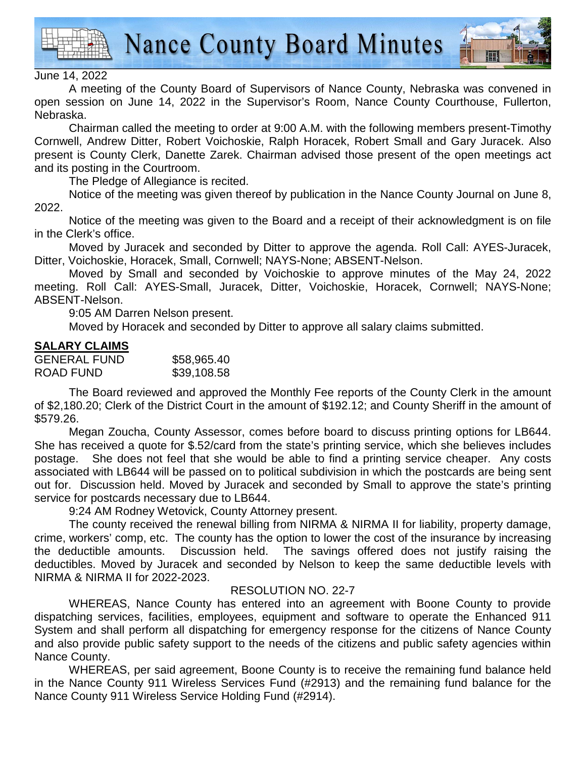

**Nance County Board Minutes** 



## June 14, 2022

A meeting of the County Board of Supervisors of Nance County, Nebraska was convened in open session on June 14, 2022 in the Supervisor's Room, Nance County Courthouse, Fullerton, Nebraska.

 Chairman called the meeting to order at 9:00 A.M. with the following members present-Timothy Cornwell, Andrew Ditter, Robert Voichoskie, Ralph Horacek, Robert Small and Gary Juracek. Also present is County Clerk, Danette Zarek. Chairman advised those present of the open meetings act and its posting in the Courtroom.

The Pledge of Allegiance is recited.

 Notice of the meeting was given thereof by publication in the Nance County Journal on June 8, 2022.

Notice of the meeting was given to the Board and a receipt of their acknowledgment is on file in the Clerk's office.

 Moved by Juracek and seconded by Ditter to approve the agenda. Roll Call: AYES-Juracek, Ditter, Voichoskie, Horacek, Small, Cornwell; NAYS-None; ABSENT-Nelson.

Moved by Small and seconded by Voichoskie to approve minutes of the May 24, 2022 meeting. Roll Call: AYES-Small, Juracek, Ditter, Voichoskie, Horacek, Cornwell; NAYS-None; ABSENT-Nelson.

9:05 AM Darren Nelson present.

Moved by Horacek and seconded by Ditter to approve all salary claims submitted.

## **SALARY CLAIMS**

| <b>GENERAL FUND</b> | \$58,965.40 |
|---------------------|-------------|
| ROAD FUND           | \$39,108.58 |

 The Board reviewed and approved the Monthly Fee reports of the County Clerk in the amount of \$2,180.20; Clerk of the District Court in the amount of \$192.12; and County Sheriff in the amount of \$579.26.

 Megan Zoucha, County Assessor, comes before board to discuss printing options for LB644. She has received a quote for \$.52/card from the state's printing service, which she believes includes postage. She does not feel that she would be able to find a printing service cheaper. Any costs associated with LB644 will be passed on to political subdivision in which the postcards are being sent out for. Discussion held. Moved by Juracek and seconded by Small to approve the state's printing service for postcards necessary due to LB644.

9:24 AM Rodney Wetovick, County Attorney present.

 The county received the renewal billing from NIRMA & NIRMA II for liability, property damage, crime, workers' comp, etc. The county has the option to lower the cost of the insurance by increasing the deductible amounts. Discussion held. The savings offered does not justify raising the deductibles. Moved by Juracek and seconded by Nelson to keep the same deductible levels with NIRMA & NIRMA II for 2022-2023.

## RESOLUTION NO. 22-7

WHEREAS, Nance County has entered into an agreement with Boone County to provide dispatching services, facilities, employees, equipment and software to operate the Enhanced 911 System and shall perform all dispatching for emergency response for the citizens of Nance County and also provide public safety support to the needs of the citizens and public safety agencies within Nance County.

WHEREAS, per said agreement, Boone County is to receive the remaining fund balance held in the Nance County 911 Wireless Services Fund (#2913) and the remaining fund balance for the Nance County 911 Wireless Service Holding Fund (#2914).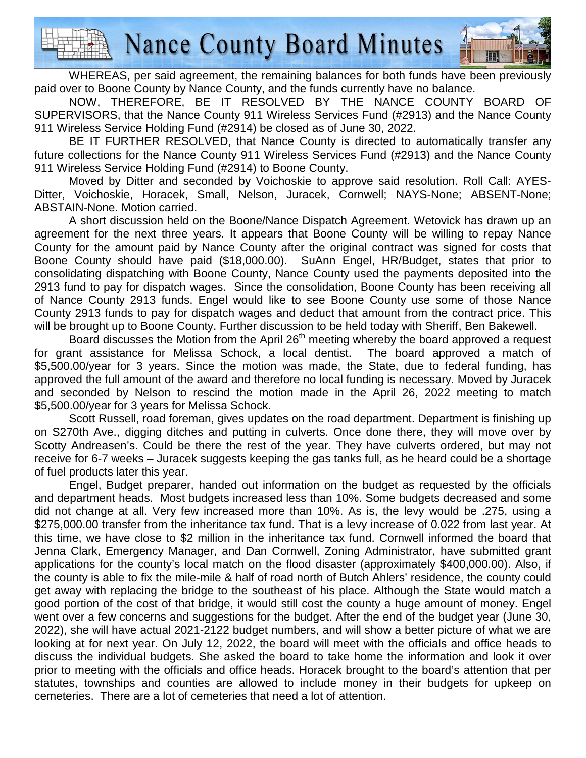**Nance County Board Minutes** 

WHEREAS, per said agreement, the remaining balances for both funds have been previously paid over to Boone County by Nance County, and the funds currently have no balance.

NOW, THEREFORE, BE IT RESOLVED BY THE NANCE COUNTY BOARD OF SUPERVISORS, that the Nance County 911 Wireless Services Fund (#2913) and the Nance County 911 Wireless Service Holding Fund (#2914) be closed as of June 30, 2022.

BE IT FURTHER RESOLVED, that Nance County is directed to automatically transfer any future collections for the Nance County 911 Wireless Services Fund (#2913) and the Nance County 911 Wireless Service Holding Fund (#2914) to Boone County.

Moved by Ditter and seconded by Voichoskie to approve said resolution. Roll Call: AYES-Ditter, Voichoskie, Horacek, Small, Nelson, Juracek, Cornwell; NAYS-None; ABSENT-None; ABSTAIN-None. Motion carried.

A short discussion held on the Boone/Nance Dispatch Agreement. Wetovick has drawn up an agreement for the next three years. It appears that Boone County will be willing to repay Nance County for the amount paid by Nance County after the original contract was signed for costs that Boone County should have paid (\$18,000.00). SuAnn Engel, HR/Budget, states that prior to consolidating dispatching with Boone County, Nance County used the payments deposited into the 2913 fund to pay for dispatch wages. Since the consolidation, Boone County has been receiving all of Nance County 2913 funds. Engel would like to see Boone County use some of those Nance County 2913 funds to pay for dispatch wages and deduct that amount from the contract price. This will be brought up to Boone County. Further discussion to be held today with Sheriff, Ben Bakewell.

Board discusses the Motion from the April 26<sup>th</sup> meeting whereby the board approved a request for grant assistance for Melissa Schock, a local dentist. The board approved a match of \$5,500.00/year for 3 years. Since the motion was made, the State, due to federal funding, has approved the full amount of the award and therefore no local funding is necessary. Moved by Juracek and seconded by Nelson to rescind the motion made in the April 26, 2022 meeting to match \$5,500.00/year for 3 years for Melissa Schock.

 Scott Russell, road foreman, gives updates on the road department. Department is finishing up on S270th Ave., digging ditches and putting in culverts. Once done there, they will move over by Scotty Andreasen's. Could be there the rest of the year. They have culverts ordered, but may not receive for 6-7 weeks – Juracek suggests keeping the gas tanks full, as he heard could be a shortage of fuel products later this year.

 Engel, Budget preparer, handed out information on the budget as requested by the officials and department heads. Most budgets increased less than 10%. Some budgets decreased and some did not change at all. Very few increased more than 10%. As is, the levy would be .275, using a \$275,000.00 transfer from the inheritance tax fund. That is a levy increase of 0.022 from last year. At this time, we have close to \$2 million in the inheritance tax fund. Cornwell informed the board that Jenna Clark, Emergency Manager, and Dan Cornwell, Zoning Administrator, have submitted grant applications for the county's local match on the flood disaster (approximately \$400,000.00). Also, if the county is able to fix the mile-mile & half of road north of Butch Ahlers' residence, the county could get away with replacing the bridge to the southeast of his place. Although the State would match a good portion of the cost of that bridge, it would still cost the county a huge amount of money. Engel went over a few concerns and suggestions for the budget. After the end of the budget year (June 30, 2022), she will have actual 2021-2122 budget numbers, and will show a better picture of what we are looking at for next year. On July 12, 2022, the board will meet with the officials and office heads to discuss the individual budgets. She asked the board to take home the information and look it over prior to meeting with the officials and office heads. Horacek brought to the board's attention that per statutes, townships and counties are allowed to include money in their budgets for upkeep on cemeteries. There are a lot of cemeteries that need a lot of attention.